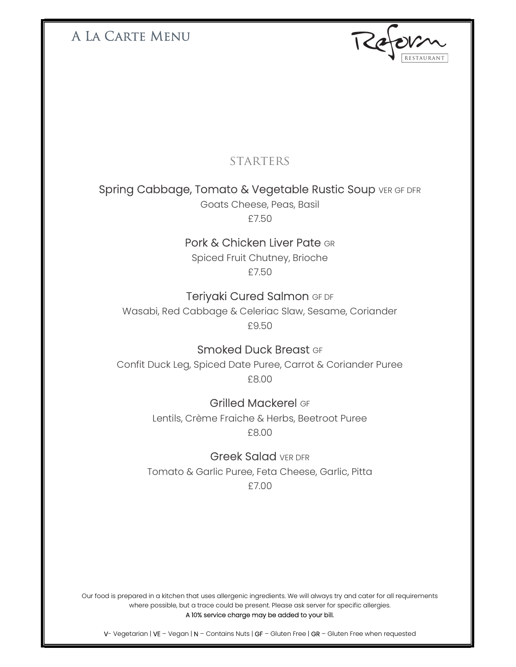## A La Carte Menu

## **STARTERS**

## Spring Cabbage, Tomato & Vegetable Rustic Soup VER OF DFR

Goats Cheese, Peas, Basil £7.50

## Pork & Chicken Liver Pate GR

Spiced Fruit Chutney, Brioche £7.50

## Teriyaki Cured Salmon GF DF

Wasabi, Red Cabbage & Celeriac Slaw, Sesame, Coriander £9.50

#### Smoked Duck Breast GF

Confit Duck Leg, Spiced Date Puree, Carrot & Coriander Puree £8.00

#### Grilled Mackerel GF

Lentils, Crème Fraiche & Herbs, Beetroot Puree £8.00

#### Greek Salad VER DFR

Tomato & Garlic Puree, Feta Cheese, Garlic, Pitta £7.00

Our food is prepared in a kitchen that uses allergenic ingredients. We will always try and cater for all requirements where possible, but a trace could be present. Please ask server for specific allergies. A 10% service charge may be added to your bill.

V- Vegetarian | VE – Vegan | N – Contains Nuts | GF – Gluten Free | GR – Gluten Free when requested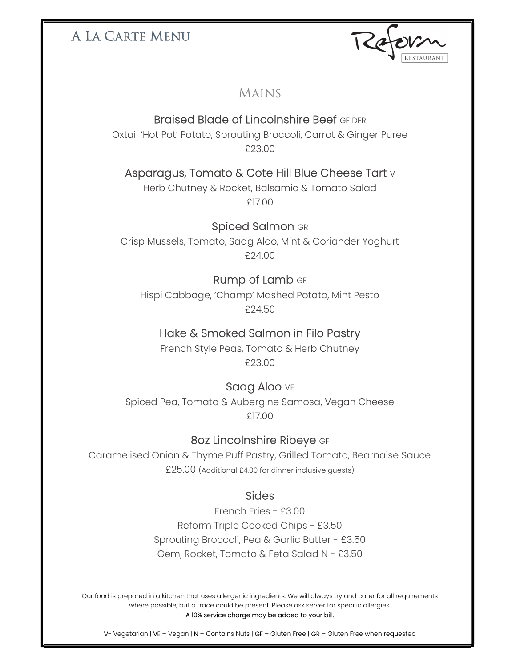## A La Carte Menu

### Mains

## Braised Blade of Lincolnshire Beef GF DFR

Oxtail 'Hot Pot' Potato, Sprouting Broccoli, Carrot & Ginger Puree £23.00

## Asparagus, Tomato & Cote Hill Blue Cheese Tart v

Herb Chutney & Rocket, Balsamic & Tomato Salad £17.00

#### Spiced Salmon GR

Crisp Mussels, Tomato, Saag Aloo, Mint & Coriander Yoghurt £24.00

## Rump of Lamb GF

Hispi Cabbage, 'Champ' Mashed Potato, Mint Pesto £24.50

#### Hake & Smoked Salmon in Filo Pastry

French Style Peas, Tomato & Herb Chutney £23.00

#### Saag Aloo VE

Spiced Pea, Tomato & Aubergine Samosa, Vegan Cheese £17.00

#### 8oz Lincolnshire Ribeye GF

Caramelised Onion & Thyme Puff Pastry, Grilled Tomato, Bearnaise Sauce £25.00 (Additional £4.00 for dinner inclusive guests)

#### **Sides**

French Fries - £3.00 Reform Triple Cooked Chips - £3.50 Sprouting Broccoli, Pea & Garlic Butter - £3.50 Gem, Rocket, Tomato & Feta Salad N - £3.50

Our food is prepared in a kitchen that uses allergenic ingredients. We will always try and cater for all requirements where possible, but a trace could be present. Please ask server for specific allergies. A 10% service charge may be added to your bill.

V- Vegetarian | VE – Vegan | N – Contains Nuts | GF – Gluten Free | GR – Gluten Free when requested